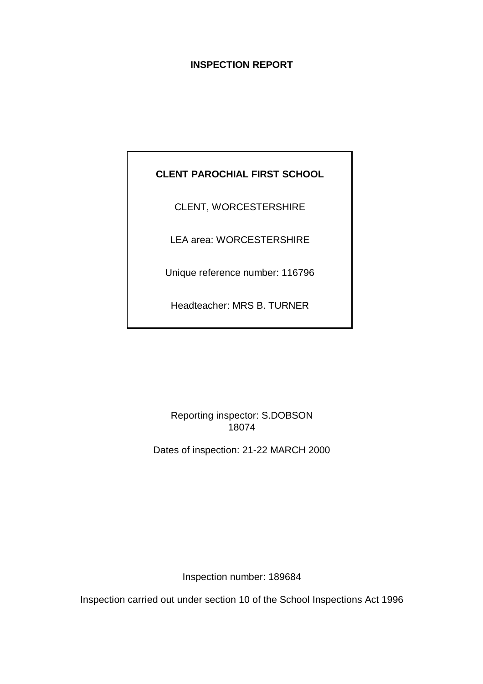# **INSPECTION REPORT**

# **CLENT PAROCHIAL FIRST SCHOOL**

CLENT, WORCESTERSHIRE

LEA area: WORCESTERSHIRE

Unique reference number: 116796

Headteacher: MRS B. TURNER

Reporting inspector: S.DOBSON 18074

Dates of inspection: 21-22 MARCH 2000

Inspection number: 189684

Inspection carried out under section 10 of the School Inspections Act 1996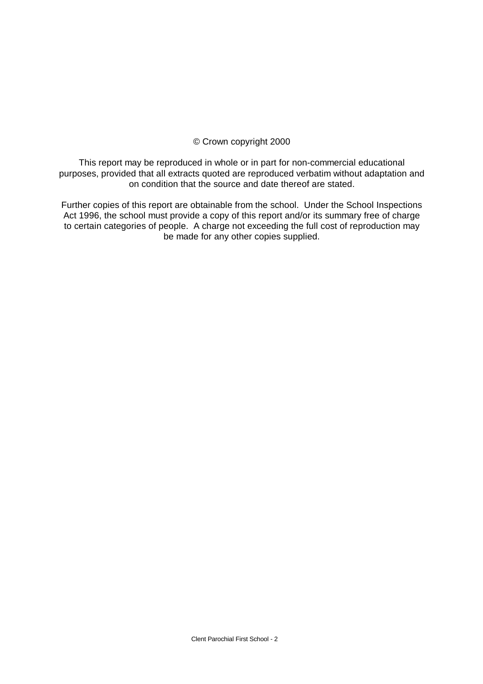## © Crown copyright 2000

This report may be reproduced in whole or in part for non-commercial educational purposes, provided that all extracts quoted are reproduced verbatim without adaptation and on condition that the source and date thereof are stated.

Further copies of this report are obtainable from the school. Under the School Inspections Act 1996, the school must provide a copy of this report and/or its summary free of charge to certain categories of people. A charge not exceeding the full cost of reproduction may be made for any other copies supplied.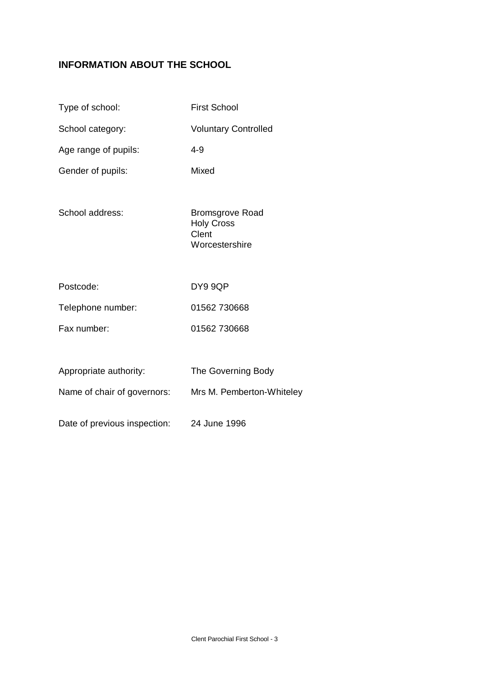# **INFORMATION ABOUT THE SCHOOL**

| Type of school:              | <b>First School</b>                                                    |
|------------------------------|------------------------------------------------------------------------|
| School category:             | <b>Voluntary Controlled</b>                                            |
| Age range of pupils:         | $4 - 9$                                                                |
| Gender of pupils:            | Mixed                                                                  |
| School address:              | <b>Bromsgrove Road</b><br><b>Holy Cross</b><br>Clent<br>Worcestershire |
| Postcode:                    | DY9 9QP                                                                |
| Telephone number:            | 01562 730668                                                           |
| Fax number:                  | 01562 730668                                                           |
|                              |                                                                        |
| Appropriate authority:       | The Governing Body                                                     |
| Name of chair of governors:  | Mrs M. Pemberton-Whiteley                                              |
| Date of previous inspection: | 24 June 1996                                                           |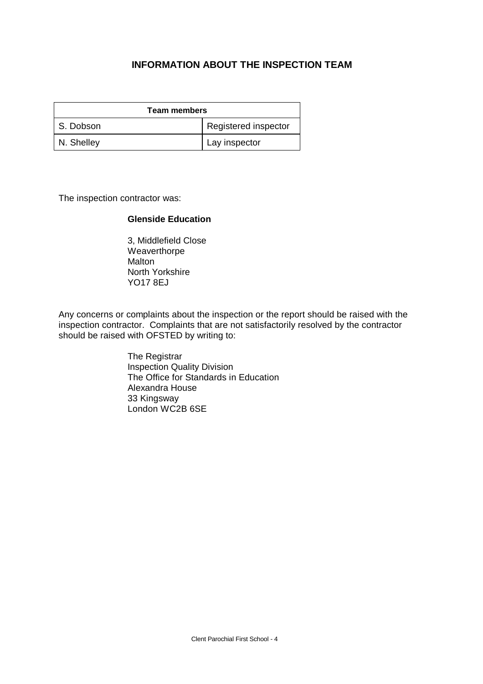# **INFORMATION ABOUT THE INSPECTION TEAM**

| <b>Team members</b> |                      |  |
|---------------------|----------------------|--|
| S. Dobson           | Registered inspector |  |
| N. Shelley          | Lay inspector        |  |

The inspection contractor was:

#### **Glenside Education**

3, Middlefield Close Weaverthorpe Malton North Yorkshire YO17 8EJ

Any concerns or complaints about the inspection or the report should be raised with the inspection contractor. Complaints that are not satisfactorily resolved by the contractor should be raised with OFSTED by writing to:

> The Registrar Inspection Quality Division The Office for Standards in Education Alexandra House 33 Kingsway London WC2B 6SE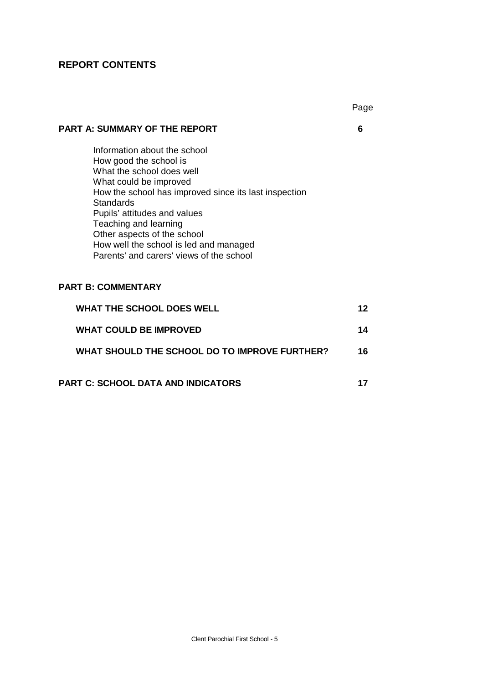# **REPORT CONTENTS**

|                                                                                                                                                                                                                                                                                                                                                                          | Page |
|--------------------------------------------------------------------------------------------------------------------------------------------------------------------------------------------------------------------------------------------------------------------------------------------------------------------------------------------------------------------------|------|
| <b>PART A: SUMMARY OF THE REPORT</b>                                                                                                                                                                                                                                                                                                                                     | 6    |
| Information about the school<br>How good the school is<br>What the school does well<br>What could be improved<br>How the school has improved since its last inspection<br><b>Standards</b><br>Pupils' attitudes and values<br>Teaching and learning<br>Other aspects of the school<br>How well the school is led and managed<br>Parents' and carers' views of the school |      |
| <b>PART B: COMMENTARY</b>                                                                                                                                                                                                                                                                                                                                                |      |
| <b>WHAT THE SCHOOL DOES WELL</b>                                                                                                                                                                                                                                                                                                                                         | 12   |
| <b>WHAT COULD BE IMPROVED</b>                                                                                                                                                                                                                                                                                                                                            | 14   |
| WHAT SHOULD THE SCHOOL DO TO IMPROVE FURTHER?                                                                                                                                                                                                                                                                                                                            | 16   |
| <b>PART C: SCHOOL DATA AND INDICATORS</b>                                                                                                                                                                                                                                                                                                                                | 17   |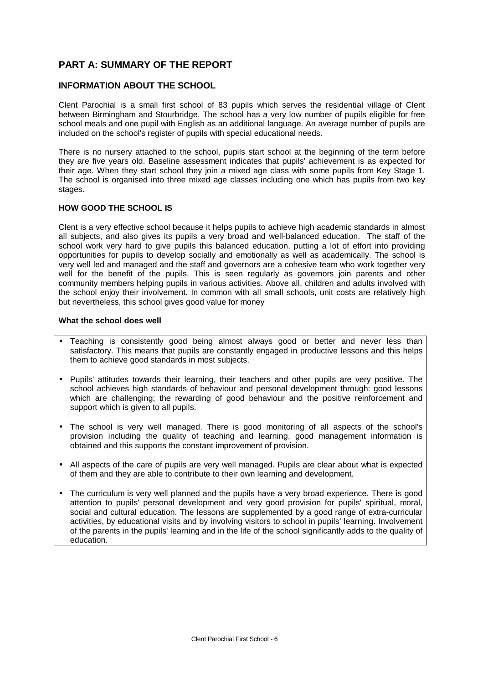# **PART A: SUMMARY OF THE REPORT**

#### **INFORMATION ABOUT THE SCHOOL**

Clent Parochial is a small first school of 83 pupils which serves the residential village of Clent between Birmingham and Stourbridge. The school has a very low number of pupils eligible for free school meals and one pupil with English as an additional language. An average number of pupils are included on the school's register of pupils with special educational needs.

There is no nursery attached to the school, pupils start school at the beginning of the term before they are five years old. Baseline assessment indicates that pupils' achievement is as expected for their age. When they start school they join a mixed age class with some pupils from Key Stage 1. The school is organised into three mixed age classes including one which has pupils from two key stages.

#### **HOW GOOD THE SCHOOL IS**

Clent is a very effective school because it helps pupils to achieve high academic standards in almost all subjects, and also gives its pupils a very broad and well-balanced education. The staff of the school work very hard to give pupils this balanced education, putting a lot of effort into providing opportunities for pupils to develop socially and emotionally as well as academically. The school is very well led and managed and the staff and governors are a cohesive team who work together very well for the benefit of the pupils. This is seen regularly as governors join parents and other community members helping pupils in various activities. Above all, children and adults involved with the school enjoy their involvement. In common with all small schools, unit costs are relatively high but nevertheless, this school gives good value for money

#### **What the school does well**

- Teaching is consistently good being almost always good or better and never less than satisfactory. This means that pupils are constantly engaged in productive lessons and this helps them to achieve good standards in most subjects.
- Pupils' attitudes towards their learning, their teachers and other pupils are very positive. The school achieves high standards of behaviour and personal development through: good lessons which are challenging; the rewarding of good behaviour and the positive reinforcement and support which is given to all pupils.
- The school is very well managed. There is good monitoring of all aspects of the school's provision including the quality of teaching and learning, good management information is obtained and this supports the constant improvement of provision.
- All aspects of the care of pupils are very well managed. Pupils are clear about what is expected of them and they are able to contribute to their own learning and development.
- The curriculum is very well planned and the pupils have a very broad experience. There is good attention to pupils' personal development and very good provision for pupils' spiritual, moral, social and cultural education. The lessons are supplemented by a good range of extra-curricular activities, by educational visits and by involving visitors to school in pupils' learning. Involvement of the parents in the pupils' learning and in the life of the school significantly adds to the quality of education.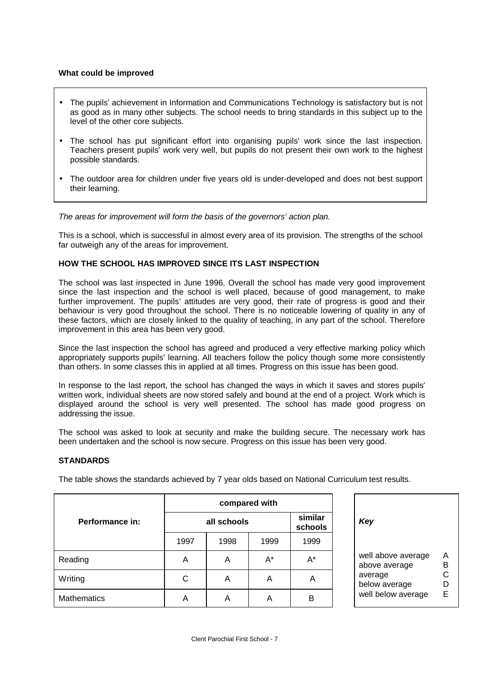#### **What could be improved**

- The pupils' achievement in Information and Communications Technology is satisfactory but is not as good as in many other subjects. The school needs to bring standards in this subject up to the level of the other core subjects.
- The school has put significant effort into organising pupils' work since the last inspection. Teachers present pupils' work very well, but pupils do not present their own work to the highest possible standards.
- The outdoor area for children under five years old is under-developed and does not best support their learning.

*The areas for improvement will form the basis of the governors' action plan.*

This is a school, which is successful in almost every area of its provision. The strengths of the school far outweigh any of the areas for improvement.

#### **HOW THE SCHOOL HAS IMPROVED SINCE ITS LAST INSPECTION**

The school was last inspected in June 1996. Overall the school has made very good improvement since the last inspection and the school is well placed, because of good management, to make further improvement. The pupils' attitudes are very good, their rate of progress is good and their behaviour is very good throughout the school. There is no noticeable lowering of quality in any of these factors, which are closely linked to the quality of teaching, in any part of the school. Therefore improvement in this area has been very good.

Since the last inspection the school has agreed and produced a very effective marking policy which appropriately supports pupils' learning. All teachers follow the policy though some more consistently than others. In some classes this in applied at all times. Progress on this issue has been good.

In response to the last report, the school has changed the ways in which it saves and stores pupils' written work, individual sheets are now stored safely and bound at the end of a project. Work which is displayed around the school is very well presented. The school has made good progress on addressing the issue.

The school was asked to look at security and make the building secure. The necessary work has been undertaken and the school is now secure. Progress on this issue has been very good.

#### **STANDARDS**

The table shows the standards achieved by 7 year olds based on National Curriculum test results.

|                    | compared with |      |      |                           |                                     |
|--------------------|---------------|------|------|---------------------------|-------------------------------------|
| Performance in:    | all schools   |      |      | similar<br>Key<br>schools |                                     |
|                    | 1997          | 1998 | 1999 | 1999                      |                                     |
| Reading            | Α             | Α    | A*   | $A^*$                     | well above average<br>above average |
| Writing            | С             | Α    | A    | Α                         | average<br>below average            |
| <b>Mathematics</b> | Α             | Α    | A    | B                         | well below average                  |

| well above average | Α |
|--------------------|---|
|                    |   |
| above average      | в |
| average            | С |
| below average      | D |
| well below average | Е |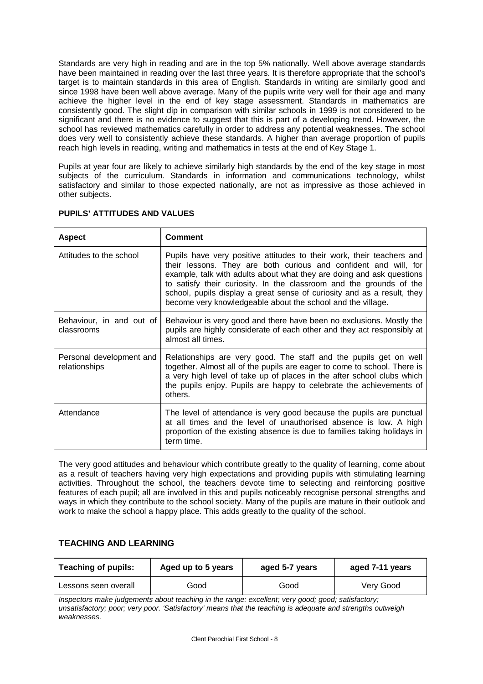Standards are very high in reading and are in the top 5% nationally. Well above average standards have been maintained in reading over the last three years. It is therefore appropriate that the school's target is to maintain standards in this area of English. Standards in writing are similarly good and since 1998 have been well above average. Many of the pupils write very well for their age and many achieve the higher level in the end of key stage assessment. Standards in mathematics are consistently good. The slight dip in comparison with similar schools in 1999 is not considered to be significant and there is no evidence to suggest that this is part of a developing trend. However, the school has reviewed mathematics carefully in order to address any potential weaknesses. The school does very well to consistently achieve these standards. A higher than average proportion of pupils reach high levels in reading, writing and mathematics in tests at the end of Key Stage 1.

Pupils at year four are likely to achieve similarly high standards by the end of the key stage in most subjects of the curriculum. Standards in information and communications technology, whilst satisfactory and similar to those expected nationally, are not as impressive as those achieved in other subjects.

| <b>Aspect</b>                             | Comment                                                                                                                                                                                                                                                                                                                                                                                                                             |
|-------------------------------------------|-------------------------------------------------------------------------------------------------------------------------------------------------------------------------------------------------------------------------------------------------------------------------------------------------------------------------------------------------------------------------------------------------------------------------------------|
| Attitudes to the school                   | Pupils have very positive attitudes to their work, their teachers and<br>their lessons. They are both curious and confident and will, for<br>example, talk with adults about what they are doing and ask questions<br>to satisfy their curiosity. In the classroom and the grounds of the<br>school, pupils display a great sense of curiosity and as a result, they<br>become very knowledgeable about the school and the village. |
| Behaviour, in and out of<br>classrooms    | Behaviour is very good and there have been no exclusions. Mostly the<br>pupils are highly considerate of each other and they act responsibly at<br>almost all times.                                                                                                                                                                                                                                                                |
| Personal development and<br>relationships | Relationships are very good. The staff and the pupils get on well<br>together. Almost all of the pupils are eager to come to school. There is<br>a very high level of take up of places in the after school clubs which<br>the pupils enjoy. Pupils are happy to celebrate the achievements of<br>others.                                                                                                                           |
| Attendance                                | The level of attendance is very good because the pupils are punctual<br>at all times and the level of unauthorised absence is low. A high<br>proportion of the existing absence is due to families taking holidays in<br>term time.                                                                                                                                                                                                 |

#### **PUPILS' ATTITUDES AND VALUES**

The very good attitudes and behaviour which contribute greatly to the quality of learning, come about as a result of teachers having very high expectations and providing pupils with stimulating learning activities. Throughout the school, the teachers devote time to selecting and reinforcing positive features of each pupil; all are involved in this and pupils noticeably recognise personal strengths and ways in which they contribute to the school society. Many of the pupils are mature in their outlook and work to make the school a happy place. This adds greatly to the quality of the school.

#### **TEACHING AND LEARNING**

| <b>Teaching of pupils:</b> | Aged up to 5 years | aged 5-7 years | aged 7-11 years |  |
|----------------------------|--------------------|----------------|-----------------|--|
| Lessons seen overall       | Good               | Good           | Very Good       |  |

*Inspectors make judgements about teaching in the range: excellent; very good; good; satisfactory; unsatisfactory; poor; very poor. 'Satisfactory' means that the teaching is adequate and strengths outweigh weaknesses.*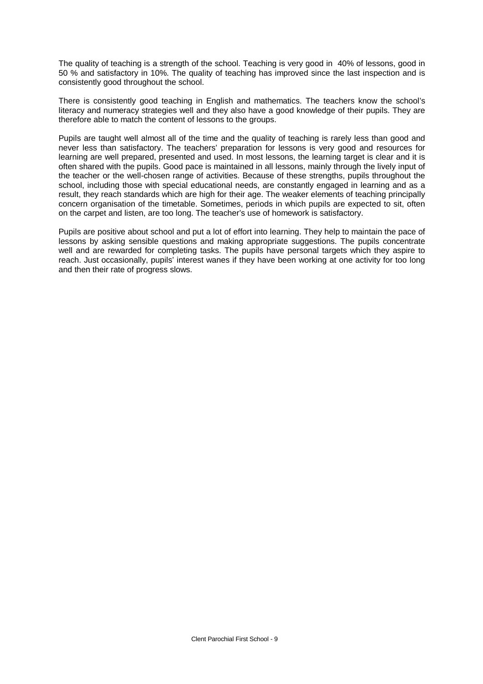The quality of teaching is a strength of the school. Teaching is very good in 40% of lessons, good in 50 % and satisfactory in 10%. The quality of teaching has improved since the last inspection and is consistently good throughout the school.

There is consistently good teaching in English and mathematics. The teachers know the school's literacy and numeracy strategies well and they also have a good knowledge of their pupils. They are therefore able to match the content of lessons to the groups.

Pupils are taught well almost all of the time and the quality of teaching is rarely less than good and never less than satisfactory. The teachers' preparation for lessons is very good and resources for learning are well prepared, presented and used. In most lessons, the learning target is clear and it is often shared with the pupils. Good pace is maintained in all lessons, mainly through the lively input of the teacher or the well-chosen range of activities. Because of these strengths, pupils throughout the school, including those with special educational needs, are constantly engaged in learning and as a result, they reach standards which are high for their age. The weaker elements of teaching principally concern organisation of the timetable. Sometimes, periods in which pupils are expected to sit, often on the carpet and listen, are too long. The teacher's use of homework is satisfactory.

Pupils are positive about school and put a lot of effort into learning. They help to maintain the pace of lessons by asking sensible questions and making appropriate suggestions. The pupils concentrate well and are rewarded for completing tasks. The pupils have personal targets which they aspire to reach. Just occasionally, pupils' interest wanes if they have been working at one activity for too long and then their rate of progress slows.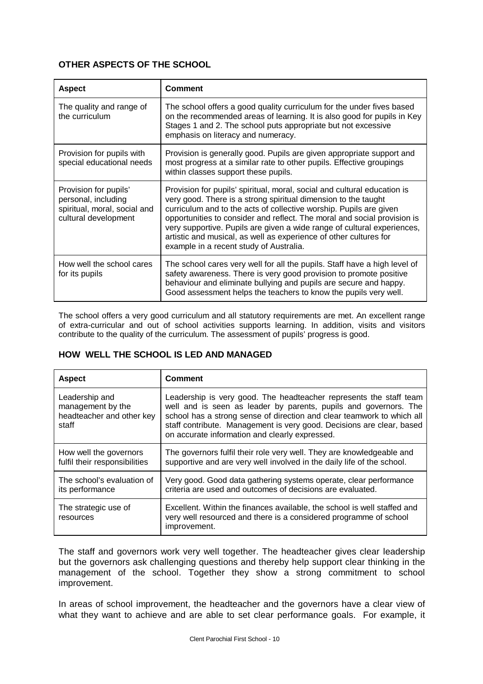## **OTHER ASPECTS OF THE SCHOOL**

| <b>Aspect</b>                                                                                        | <b>Comment</b>                                                                                                                                                                                                                                                                                                                                                                                                                                                                          |
|------------------------------------------------------------------------------------------------------|-----------------------------------------------------------------------------------------------------------------------------------------------------------------------------------------------------------------------------------------------------------------------------------------------------------------------------------------------------------------------------------------------------------------------------------------------------------------------------------------|
| The quality and range of<br>the curriculum                                                           | The school offers a good quality curriculum for the under fives based<br>on the recommended areas of learning. It is also good for pupils in Key<br>Stages 1 and 2. The school puts appropriate but not excessive<br>emphasis on literacy and numeracy.                                                                                                                                                                                                                                 |
| Provision for pupils with<br>special educational needs                                               | Provision is generally good. Pupils are given appropriate support and<br>most progress at a similar rate to other pupils. Effective groupings<br>within classes support these pupils.                                                                                                                                                                                                                                                                                                   |
| Provision for pupils'<br>personal, including<br>spiritual, moral, social and<br>cultural development | Provision for pupils' spiritual, moral, social and cultural education is<br>very good. There is a strong spiritual dimension to the taught<br>curriculum and to the acts of collective worship. Pupils are given<br>opportunities to consider and reflect. The moral and social provision is<br>very supportive. Pupils are given a wide range of cultural experiences,<br>artistic and musical, as well as experience of other cultures for<br>example in a recent study of Australia. |
| How well the school cares<br>for its pupils                                                          | The school cares very well for all the pupils. Staff have a high level of<br>safety awareness. There is very good provision to promote positive<br>behaviour and eliminate bullying and pupils are secure and happy.<br>Good assessment helps the teachers to know the pupils very well.                                                                                                                                                                                                |

The school offers a very good curriculum and all statutory requirements are met. An excellent range of extra-curricular and out of school activities supports learning. In addition, visits and visitors contribute to the quality of the curriculum. The assessment of pupils' progress is good.

## **HOW WELL THE SCHOOL IS LED AND MANAGED**

| <b>Aspect</b>                                                             | <b>Comment</b>                                                                                                                                                                                                                                                                                                                              |
|---------------------------------------------------------------------------|---------------------------------------------------------------------------------------------------------------------------------------------------------------------------------------------------------------------------------------------------------------------------------------------------------------------------------------------|
| Leadership and<br>management by the<br>headteacher and other key<br>staff | Leadership is very good. The headteacher represents the staff team<br>well and is seen as leader by parents, pupils and governors. The<br>school has a strong sense of direction and clear teamwork to which all<br>staff contribute. Management is very good. Decisions are clear, based<br>on accurate information and clearly expressed. |
| How well the governors<br>fulfil their responsibilities                   | The governors fulfil their role very well. They are knowledgeable and<br>supportive and are very well involved in the daily life of the school.                                                                                                                                                                                             |
| The school's evaluation of<br>its performance                             | Very good. Good data gathering systems operate, clear performance<br>criteria are used and outcomes of decisions are evaluated.                                                                                                                                                                                                             |
| The strategic use of<br>resources                                         | Excellent. Within the finances available, the school is well staffed and<br>very well resourced and there is a considered programme of school<br>improvement.                                                                                                                                                                               |

The staff and governors work very well together. The headteacher gives clear leadership but the governors ask challenging questions and thereby help support clear thinking in the management of the school. Together they show a strong commitment to school improvement.

In areas of school improvement, the headteacher and the governors have a clear view of what they want to achieve and are able to set clear performance goals. For example, it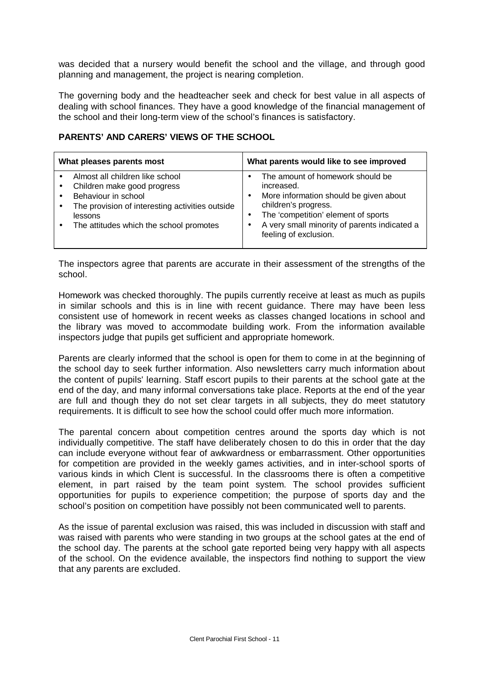was decided that a nursery would benefit the school and the village, and through good planning and management, the project is nearing completion.

The governing body and the headteacher seek and check for best value in all aspects of dealing with school finances. They have a good knowledge of the financial management of the school and their long-term view of the school's finances is satisfactory.

## **PARENTS' AND CARERS' VIEWS OF THE SCHOOL**

| What pleases parents most                       | What parents would like to see improved      |  |  |
|-------------------------------------------------|----------------------------------------------|--|--|
| Almost all children like school                 | The amount of homework should be             |  |  |
| Children make good progress                     | increased.                                   |  |  |
| Behaviour in school                             | More information should be given about       |  |  |
| The provision of interesting activities outside | children's progress.                         |  |  |
| $\bullet$                                       | The 'competition' element of sports          |  |  |
| lessons                                         | A very small minority of parents indicated a |  |  |
| The attitudes which the school promotes         | feeling of exclusion.                        |  |  |

The inspectors agree that parents are accurate in their assessment of the strengths of the school.

Homework was checked thoroughly. The pupils currently receive at least as much as pupils in similar schools and this is in line with recent guidance. There may have been less consistent use of homework in recent weeks as classes changed locations in school and the library was moved to accommodate building work. From the information available inspectors judge that pupils get sufficient and appropriate homework.

Parents are clearly informed that the school is open for them to come in at the beginning of the school day to seek further information. Also newsletters carry much information about the content of pupils' learning. Staff escort pupils to their parents at the school gate at the end of the day, and many informal conversations take place. Reports at the end of the year are full and though they do not set clear targets in all subjects, they do meet statutory requirements. It is difficult to see how the school could offer much more information.

The parental concern about competition centres around the sports day which is not individually competitive. The staff have deliberately chosen to do this in order that the day can include everyone without fear of awkwardness or embarrassment. Other opportunities for competition are provided in the weekly games activities, and in inter-school sports of various kinds in which Clent is successful. In the classrooms there is often a competitive element, in part raised by the team point system. The school provides sufficient opportunities for pupils to experience competition; the purpose of sports day and the school's position on competition have possibly not been communicated well to parents.

As the issue of parental exclusion was raised, this was included in discussion with staff and was raised with parents who were standing in two groups at the school gates at the end of the school day. The parents at the school gate reported being very happy with all aspects of the school. On the evidence available, the inspectors find nothing to support the view that any parents are excluded.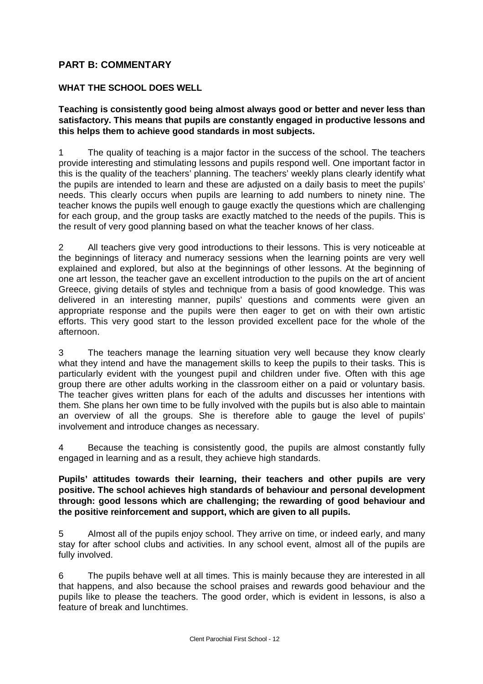# **PART B: COMMENTARY**

## **WHAT THE SCHOOL DOES WELL**

**Teaching is consistently good being almost always good or better and never less than satisfactory. This means that pupils are constantly engaged in productive lessons and this helps them to achieve good standards in most subjects.**

1 The quality of teaching is a major factor in the success of the school. The teachers provide interesting and stimulating lessons and pupils respond well. One important factor in this is the quality of the teachers' planning. The teachers' weekly plans clearly identify what the pupils are intended to learn and these are adjusted on a daily basis to meet the pupils' needs. This clearly occurs when pupils are learning to add numbers to ninety nine. The teacher knows the pupils well enough to gauge exactly the questions which are challenging for each group, and the group tasks are exactly matched to the needs of the pupils. This is the result of very good planning based on what the teacher knows of her class.

2 All teachers give very good introductions to their lessons. This is very noticeable at the beginnings of literacy and numeracy sessions when the learning points are very well explained and explored, but also at the beginnings of other lessons. At the beginning of one art lesson, the teacher gave an excellent introduction to the pupils on the art of ancient Greece, giving details of styles and technique from a basis of good knowledge. This was delivered in an interesting manner, pupils' questions and comments were given an appropriate response and the pupils were then eager to get on with their own artistic efforts. This very good start to the lesson provided excellent pace for the whole of the afternoon.

3 The teachers manage the learning situation very well because they know clearly what they intend and have the management skills to keep the pupils to their tasks. This is particularly evident with the youngest pupil and children under five. Often with this age group there are other adults working in the classroom either on a paid or voluntary basis. The teacher gives written plans for each of the adults and discusses her intentions with them. She plans her own time to be fully involved with the pupils but is also able to maintain an overview of all the groups. She is therefore able to gauge the level of pupils' involvement and introduce changes as necessary.

4 Because the teaching is consistently good, the pupils are almost constantly fully engaged in learning and as a result, they achieve high standards.

#### **Pupils' attitudes towards their learning, their teachers and other pupils are very positive. The school achieves high standards of behaviour and personal development through: good lessons which are challenging; the rewarding of good behaviour and the positive reinforcement and support, which are given to all pupils.**

5 Almost all of the pupils enjoy school. They arrive on time, or indeed early, and many stay for after school clubs and activities. In any school event, almost all of the pupils are fully involved.

6 The pupils behave well at all times. This is mainly because they are interested in all that happens, and also because the school praises and rewards good behaviour and the pupils like to please the teachers. The good order, which is evident in lessons, is also a feature of break and lunchtimes.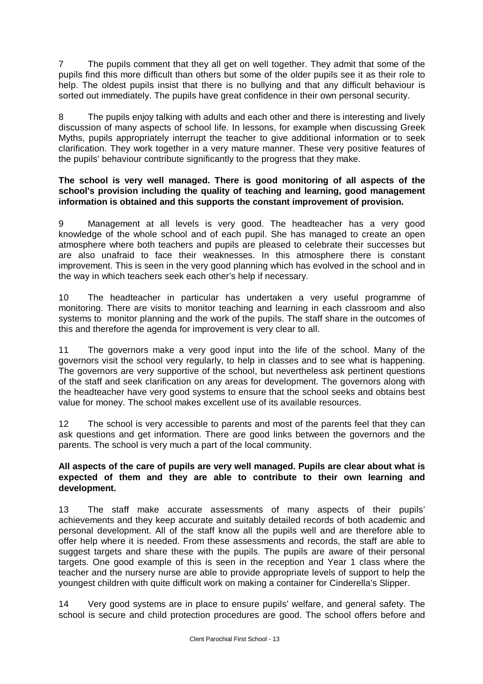7 The pupils comment that they all get on well together. They admit that some of the pupils find this more difficult than others but some of the older pupils see it as their role to help. The oldest pupils insist that there is no bullying and that any difficult behaviour is sorted out immediately. The pupils have great confidence in their own personal security.

8 The pupils enjoy talking with adults and each other and there is interesting and lively discussion of many aspects of school life. In lessons, for example when discussing Greek Myths, pupils appropriately interrupt the teacher to give additional information or to seek clarification. They work together in a very mature manner. These very positive features of the pupils' behaviour contribute significantly to the progress that they make.

### **The school is very well managed. There is good monitoring of all aspects of the school's provision including the quality of teaching and learning, good management information is obtained and this supports the constant improvement of provision.**

9 Management at all levels is very good. The headteacher has a very good knowledge of the whole school and of each pupil. She has managed to create an open atmosphere where both teachers and pupils are pleased to celebrate their successes but are also unafraid to face their weaknesses. In this atmosphere there is constant improvement. This is seen in the very good planning which has evolved in the school and in the way in which teachers seek each other's help if necessary.

10 The headteacher in particular has undertaken a very useful programme of monitoring. There are visits to monitor teaching and learning in each classroom and also systems to monitor planning and the work of the pupils. The staff share in the outcomes of this and therefore the agenda for improvement is very clear to all.

11 The governors make a very good input into the life of the school. Many of the governors visit the school very regularly, to help in classes and to see what is happening. The governors are very supportive of the school, but nevertheless ask pertinent questions of the staff and seek clarification on any areas for development. The governors along with the headteacher have very good systems to ensure that the school seeks and obtains best value for money. The school makes excellent use of its available resources.

12 The school is very accessible to parents and most of the parents feel that they can ask questions and get information. There are good links between the governors and the parents. The school is very much a part of the local community.

## **All aspects of the care of pupils are very well managed. Pupils are clear about what is expected of them and they are able to contribute to their own learning and development.**

13 The staff make accurate assessments of many aspects of their pupils' achievements and they keep accurate and suitably detailed records of both academic and personal development. All of the staff know all the pupils well and are therefore able to offer help where it is needed. From these assessments and records, the staff are able to suggest targets and share these with the pupils. The pupils are aware of their personal targets. One good example of this is seen in the reception and Year 1 class where the teacher and the nursery nurse are able to provide appropriate levels of support to help the youngest children with quite difficult work on making a container for Cinderella's Slipper.

14 Very good systems are in place to ensure pupils' welfare, and general safety. The school is secure and child protection procedures are good. The school offers before and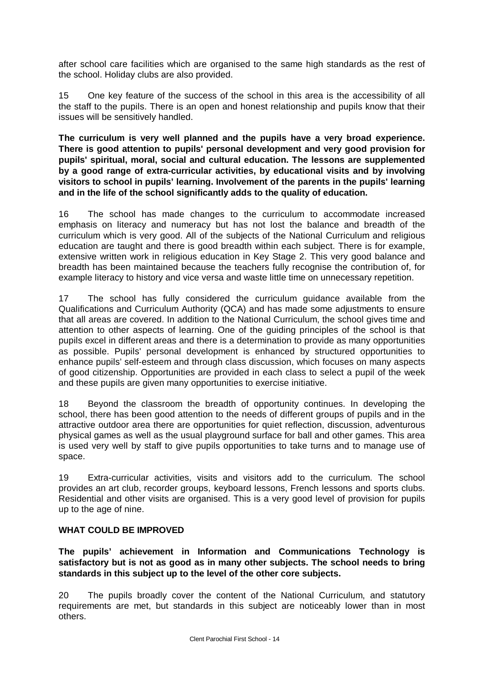after school care facilities which are organised to the same high standards as the rest of the school. Holiday clubs are also provided.

15 One key feature of the success of the school in this area is the accessibility of all the staff to the pupils. There is an open and honest relationship and pupils know that their issues will be sensitively handled.

**The curriculum is very well planned and the pupils have a very broad experience. There is good attention to pupils' personal development and very good provision for pupils' spiritual, moral, social and cultural education. The lessons are supplemented by a good range of extra-curricular activities, by educational visits and by involving visitors to school in pupils' learning. Involvement of the parents in the pupils' learning and in the life of the school significantly adds to the quality of education.**

16 The school has made changes to the curriculum to accommodate increased emphasis on literacy and numeracy but has not lost the balance and breadth of the curriculum which is very good. All of the subjects of the National Curriculum and religious education are taught and there is good breadth within each subject. There is for example, extensive written work in religious education in Key Stage 2. This very good balance and breadth has been maintained because the teachers fully recognise the contribution of, for example literacy to history and vice versa and waste little time on unnecessary repetition.

17 The school has fully considered the curriculum guidance available from the Qualifications and Curriculum Authority (QCA) and has made some adjustments to ensure that all areas are covered. In addition to the National Curriculum, the school gives time and attention to other aspects of learning. One of the guiding principles of the school is that pupils excel in different areas and there is a determination to provide as many opportunities as possible. Pupils' personal development is enhanced by structured opportunities to enhance pupils' self-esteem and through class discussion, which focuses on many aspects of good citizenship. Opportunities are provided in each class to select a pupil of the week and these pupils are given many opportunities to exercise initiative.

18 Beyond the classroom the breadth of opportunity continues. In developing the school, there has been good attention to the needs of different groups of pupils and in the attractive outdoor area there are opportunities for quiet reflection, discussion, adventurous physical games as well as the usual playground surface for ball and other games. This area is used very well by staff to give pupils opportunities to take turns and to manage use of space.

19 Extra-curricular activities, visits and visitors add to the curriculum. The school provides an art club, recorder groups, keyboard lessons, French lessons and sports clubs. Residential and other visits are organised. This is a very good level of provision for pupils up to the age of nine.

## **WHAT COULD BE IMPROVED**

**The pupils' achievement in Information and Communications Technology is satisfactory but is not as good as in many other subjects. The school needs to bring standards in this subject up to the level of the other core subjects.**

20 The pupils broadly cover the content of the National Curriculum, and statutory requirements are met, but standards in this subject are noticeably lower than in most others.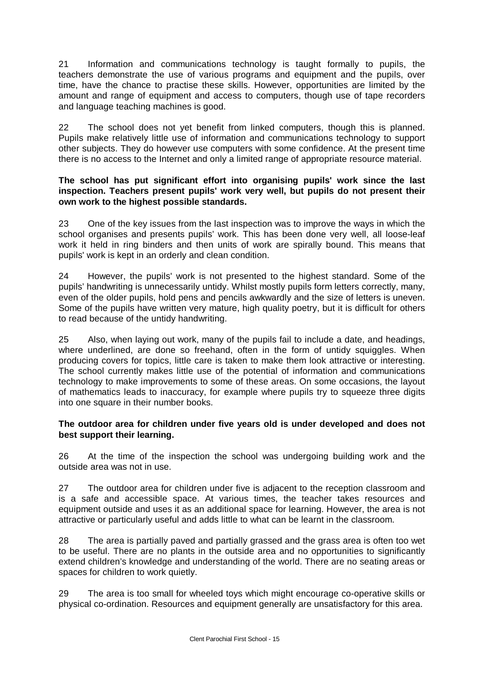21 Information and communications technology is taught formally to pupils, the teachers demonstrate the use of various programs and equipment and the pupils, over time, have the chance to practise these skills. However, opportunities are limited by the amount and range of equipment and access to computers, though use of tape recorders and language teaching machines is good.

22 The school does not yet benefit from linked computers, though this is planned. Pupils make relatively little use of information and communications technology to support other subjects. They do however use computers with some confidence. At the present time there is no access to the Internet and only a limited range of appropriate resource material.

## **The school has put significant effort into organising pupils' work since the last inspection. Teachers present pupils' work very well, but pupils do not present their own work to the highest possible standards.**

23 One of the key issues from the last inspection was to improve the ways in which the school organises and presents pupils' work. This has been done very well, all loose-leaf work it held in ring binders and then units of work are spirally bound. This means that pupils' work is kept in an orderly and clean condition.

24 However, the pupils' work is not presented to the highest standard. Some of the pupils' handwriting is unnecessarily untidy. Whilst mostly pupils form letters correctly, many, even of the older pupils, hold pens and pencils awkwardly and the size of letters is uneven. Some of the pupils have written very mature, high quality poetry, but it is difficult for others to read because of the untidy handwriting.

25 Also, when laying out work, many of the pupils fail to include a date, and headings, where underlined, are done so freehand, often in the form of untidy squiggles. When producing covers for topics, little care is taken to make them look attractive or interesting. The school currently makes little use of the potential of information and communications technology to make improvements to some of these areas. On some occasions, the layout of mathematics leads to inaccuracy, for example where pupils try to squeeze three digits into one square in their number books.

## **The outdoor area for children under five years old is under developed and does not best support their learning.**

26 At the time of the inspection the school was undergoing building work and the outside area was not in use.

27 The outdoor area for children under five is adjacent to the reception classroom and is a safe and accessible space. At various times, the teacher takes resources and equipment outside and uses it as an additional space for learning. However, the area is not attractive or particularly useful and adds little to what can be learnt in the classroom.

28 The area is partially paved and partially grassed and the grass area is often too wet to be useful. There are no plants in the outside area and no opportunities to significantly extend children's knowledge and understanding of the world. There are no seating areas or spaces for children to work quietly.

29 The area is too small for wheeled toys which might encourage co-operative skills or physical co-ordination. Resources and equipment generally are unsatisfactory for this area.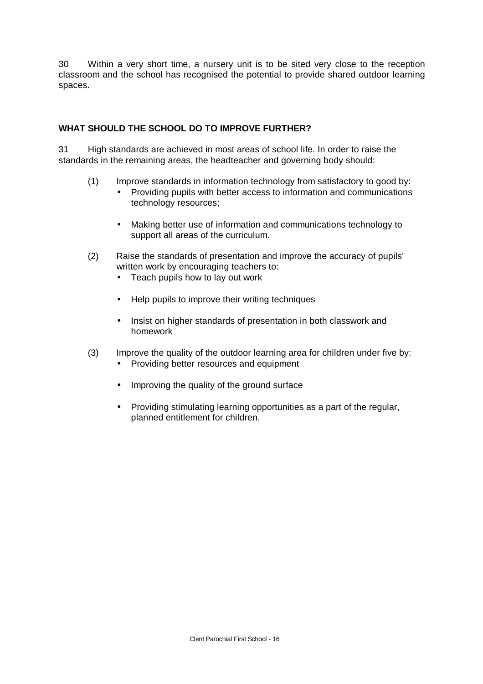30 Within a very short time, a nursery unit is to be sited very close to the reception classroom and the school has recognised the potential to provide shared outdoor learning spaces.

## **WHAT SHOULD THE SCHOOL DO TO IMPROVE FURTHER?**

31 High standards are achieved in most areas of school life. In order to raise the standards in the remaining areas, the headteacher and governing body should:

- (1) Improve standards in information technology from satisfactory to good by:
	- Providing pupils with better access to information and communications technology resources;
	- Making better use of information and communications technology to support all areas of the curriculum.
- (2) Raise the standards of presentation and improve the accuracy of pupils' written work by encouraging teachers to:
	- Teach pupils how to lay out work
	- Help pupils to improve their writing techniques
	- Insist on higher standards of presentation in both classwork and homework
- (3) Improve the quality of the outdoor learning area for children under five by:
	- Providing better resources and equipment
	- Improving the quality of the ground surface
	- Providing stimulating learning opportunities as a part of the regular, planned entitlement for children.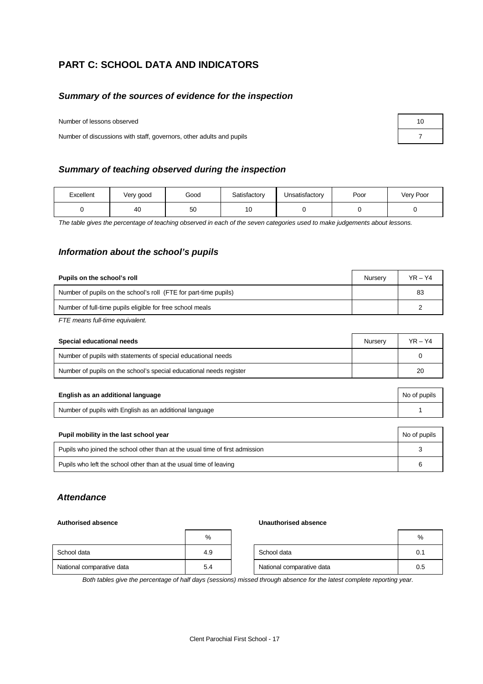# **PART C: SCHOOL DATA AND INDICATORS**

#### *Summary of the sources of evidence for the inspection*

Number of lessons observed

Number of discussions with staff, governors, other adults and pupils 7

#### *Summary of teaching observed during the inspection*

| Excellent | Very good | Good | Satisfactory | Unsatisfactory | Poor | Very Poor |
|-----------|-----------|------|--------------|----------------|------|-----------|
|           | 40        | 50   | 10           |                |      |           |

*The table gives the percentage of teaching observed in each of the seven categories used to make judgements about lessons.*

#### *Information about the school's pupils*

| Pupils on the school's roll                                      | Nurserv | $YR - Y4$ |
|------------------------------------------------------------------|---------|-----------|
| Number of pupils on the school's roll (FTE for part-time pupils) |         | 83        |
| Number of full-time pupils eligible for free school meals        |         |           |
|                                                                  |         |           |

*FTE means full-time equivalent.*

| Special educational needs                                           | Nurserv | $YR - Y4$ |
|---------------------------------------------------------------------|---------|-----------|
| Number of pupils with statements of special educational needs       |         |           |
| Number of pupils on the school's special educational needs register |         | 20        |

| English as an additional language                       | No of pupils |
|---------------------------------------------------------|--------------|
| Number of pupils with English as an additional language |              |

| Pupil mobility in the last school year                                       | No of pupils |
|------------------------------------------------------------------------------|--------------|
| Pupils who joined the school other than at the usual time of first admission |              |
| Pupils who left the school other than at the usual time of leaving           | ิค           |

#### *Attendance*

#### **Authorised absence Unauthorised absence**

|                           | %   |                           | %   |
|---------------------------|-----|---------------------------|-----|
| School data               | 4.9 | School data               | 0.1 |
| National comparative data | 5.4 | National comparative data | 0.5 |

*Both tables give the percentage of half days (sessions) missed through absence for the latest complete reporting year.*

| 10 |  |
|----|--|
| 7  |  |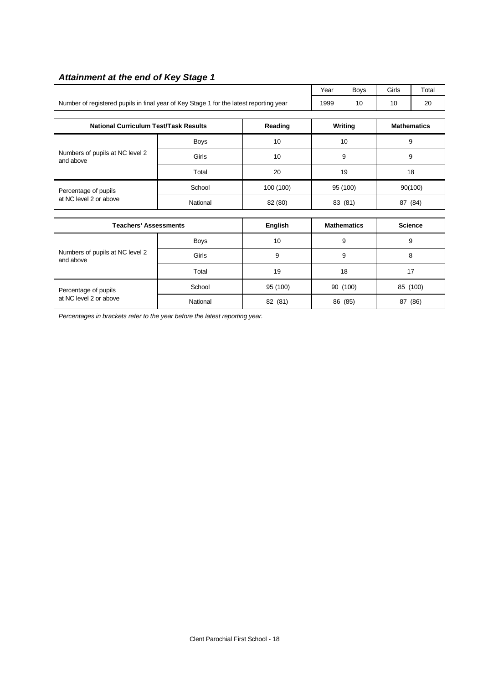# *Attainment at the end of Key Stage 1*

|                                                                                        |             |           | Year | Boys                 | Girls | Total              |  |
|----------------------------------------------------------------------------------------|-------------|-----------|------|----------------------|-------|--------------------|--|
| Number of registered pupils in final year of Key Stage 1 for the latest reporting year |             |           | 1999 | 10                   | 10    | 20                 |  |
| <b>National Curriculum Test/Task Results</b><br>Reading                                |             |           |      | <b>Writing</b>       |       | <b>Mathematics</b> |  |
|                                                                                        | <b>Boys</b> | 10        |      | 10                   |       | 9                  |  |
| Numbers of pupils at NC level 2<br>and above                                           | Girls       | 10        |      | 9                    |       | 9                  |  |
|                                                                                        | Total       | 20        | 19   |                      | 18    |                    |  |
| Percentage of pupils                                                                   | School      | 100 (100) |      | 95 (100)             |       | 90(100)            |  |
| at NC level 2 or above                                                                 | National    | 82 (80)   |      | 87 (84)<br>83 (81)   |       |                    |  |
| <b>Teachers' Assessments</b><br><b>English</b>                                         |             |           |      | <b>Mathematics</b>   |       | <b>Science</b>     |  |
|                                                                                        | <b>Boys</b> | 10        |      | 9                    |       | 9                  |  |
| Numbers of pupils at NC level 2<br>and above                                           | Girls       | 9         |      | 9                    | 8     |                    |  |
|                                                                                        | Total       | 19        |      | 18                   | 17    |                    |  |
| Percentage of pupils                                                                   | School      | 95 (100)  |      | 90 (100)<br>85 (100) |       |                    |  |
| at NC level 2 or above                                                                 | National    | 82 (81)   |      | 86 (85)              |       | 87 (86)            |  |

*Percentages in brackets refer to the year before the latest reporting year.*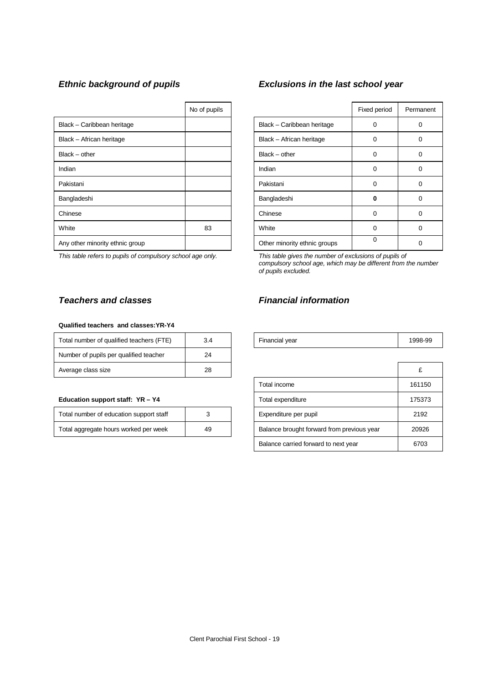|                                 | No of pupils |                              | Fixed period | Perma |
|---------------------------------|--------------|------------------------------|--------------|-------|
| Black - Caribbean heritage      |              | Black - Caribbean heritage   | $\Omega$     | 0     |
| Black - African heritage        |              | Black - African heritage     | $\Omega$     | 0     |
| $Black - other$                 |              | $Black - other$              | 0            | 0     |
| Indian                          |              | Indian                       | $\Omega$     | 0     |
| Pakistani                       |              | Pakistani                    | 0            | 0     |
| Bangladeshi                     |              | Bangladeshi                  | 0            | 0     |
| Chinese                         |              | Chinese                      | $\Omega$     | 0     |
| White                           | 83           | White                        | $\Omega$     | 0     |
| Any other minority ethnic group |              | Other minority ethnic groups | 0            | 0     |

*This table refers to pupils of compulsory school age only. This table gives the number of exclusions of pupils of*

#### **Qualified teachers and classes:YR-Y4**

| Total number of qualified teachers (FTE) | 3.4 | Financial year | 1998 |
|------------------------------------------|-----|----------------|------|
| Number of pupils per qualified teacher   | 24  |                |      |
| Average class size                       | 28  |                |      |

#### **Education support staff: YR - Y4**

| Total number of education support staff |    |
|-----------------------------------------|----|
| Total aggregate hours worked per week   | 49 |

# *Ethnic background of pupils Exclusions in the last school year*

| No of pupils |                              | Fixed period | Permanent |
|--------------|------------------------------|--------------|-----------|
|              | Black - Caribbean heritage   | 0            |           |
|              | Black - African heritage     | $\Omega$     | 0         |
|              | $Black - other$              | 0            | 0         |
|              | Indian                       | $\Omega$     | 0         |
|              | Pakistani                    | $\Omega$     | 0         |
|              | Bangladeshi                  | ŋ            | Ω         |
|              | Chinese                      | $\Omega$     | 0         |
| 83           | White                        | $\Omega$     | ი         |
|              | Other minority ethnic groups | 0            |           |

*compulsory school age, which may be different from the number of pupils excluded.*

## *Teachers and classes Financial information*

| Total number<br>∵of qualified teachers⊣<br>$\left  \right $<br>⊢<br>− | ◡.⊣ | Financial vear<br>- - - | 998-99 |
|-----------------------------------------------------------------------|-----|-------------------------|--------|
|                                                                       |     |                         |        |

| Average class size                      | 28 |                                            | £      |
|-----------------------------------------|----|--------------------------------------------|--------|
|                                         |    | Total income                               | 161150 |
| Education support staff: YR - Y4        |    | Total expenditure                          | 175373 |
| Total number of education support staff |    | Expenditure per pupil                      | 2192   |
| Total aggregate hours worked per week   | 49 | Balance brought forward from previous year | 20926  |
|                                         |    | Balance carried forward to next year       | 6703   |